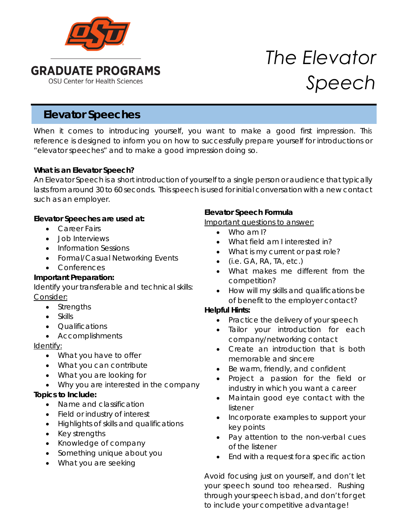

# *The Elevator Speech*

# **Elevator Speeches**

When it comes to introducing yourself, you want to make a good first impression. This reference is designed to inform you on how to successfully prepare yourself for introductions or "elevator speeches" and to make a good impression doing so.

#### **What is an Elevator Speech?**

An Elevator Speech is a short introduction of yourself to a single person or audience that typically lasts from around 30 to 60 seconds. This speech is used for initial conversation with a new contact such as an employer.

#### **Elevator Speeches are used at:**

- Career Fairs
- Job Interviews
- Information Sessions
- Formal/Casual Networking Events
- Conferences

# **Important Preparation:**

Identify your transferable and technical skills: Consider:

- Strengths
- Skills
- Qualifications
- Accomplishments

# Identify:

- What you have to offer
- What you can contribute
- What you are looking for
- Why you are interested in the company

# **Topics to Include:**

- Name and classification
- Field or industry of interest
- Highlights of skills and qualifications
- Key strengths
- Knowledge of company
- Something unique about you
- What you are seeking

# **Elevator Speech Formula**

# Important questions to answer:

- Who am I?
- What field am I interested in?
- What is my current or past role?
- $(i.e. GA, RA, TA, etc.)$
- What makes me different from the competition?
- How will my skills and qualifications be of benefit to the employer contact?

# **Helpful Hints:**

- Practice the delivery of your speech
- Tailor your introduction for each company/networking contact
- Create an introduction that is both memorable and sincere
- Be warm, friendly, and confident
- Project a passion for the field or industry in which you want a career
- Maintain good eye contact with the listener
- Incorporate examples to support your key points
- Pay attention to the non-verbal cues of the listener
- End with a request for a specific action

Avoid focusing just on yourself, and don't let your speech sound too rehearsed. Rushing through your speech is bad, and don't for get to include your competitive advantage!